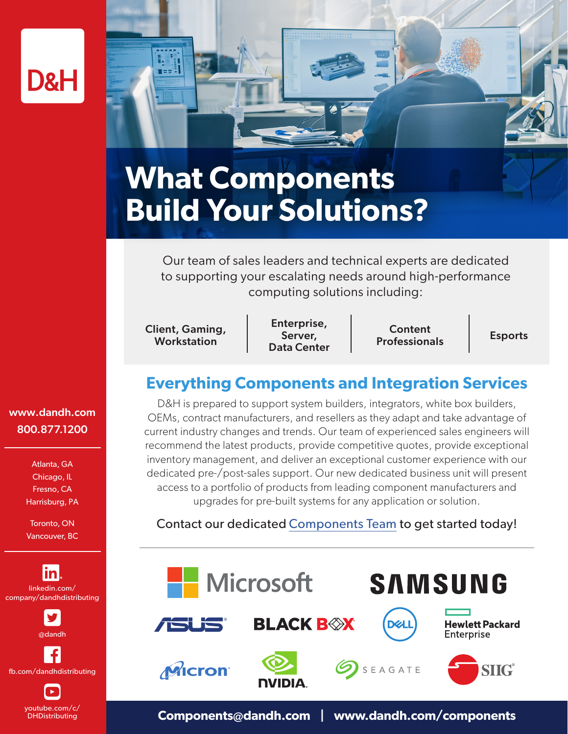

# **What Components Build Your Solutions?**

Our team of sales leaders and technical experts are dedicated to supporting your escalating needs around high-performance computing solutions including:

Client, Gaming, Workstation

i d

Enterprise, Server, Data Center

Content Professionals Esports

## **Everything Components and Integration Services**

D&H is prepared to support system builders, integrators, white box builders, OEMs, contract manufacturers, and resellers as they adapt and take advantage of current industry changes and trends. Our team of experienced sales engineers will recommend the latest products, provide competitive quotes, provide exceptional inventory management, and deliver an exceptional customer experience with our dedicated pre-/post-sales support. Our new dedicated business unit will present access to a portfolio of products from leading component manufacturers and upgrades for pre-built systems for any application or solution.

#### Contact our dedicated Components Team to get started today!



### www.dandh.com 800.877.1200

Atlanta, GA Chicago, IL Fresno, CA Harrisburg, PA

Toronto, ON Vancouver, BC

lin linkedin.com/ company/dandhdistributing



@dandh

fb.com/dandhdistributing

youtube.com/c/ DHDistributing